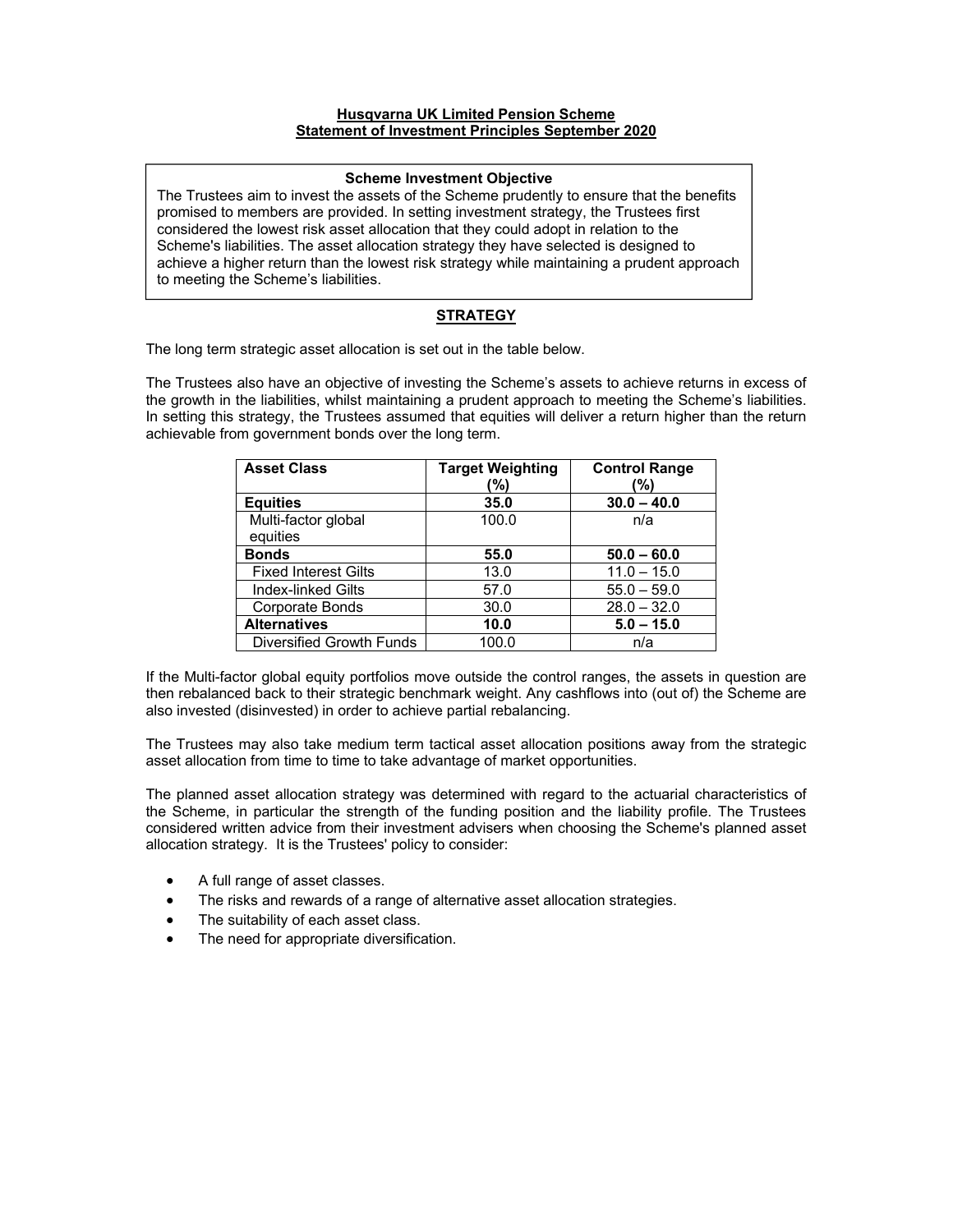#### **Husqvarna UK Limited Pension Scheme Statement of Investment Principles September 2020**

### **Scheme Investment Objective**

The Trustees aim to invest the assets of the Scheme prudently to ensure that the benefits promised to members are provided. In setting investment strategy, the Trustees first considered the lowest risk asset allocation that they could adopt in relation to the Scheme's liabilities. The asset allocation strategy they have selected is designed to achieve a higher return than the lowest risk strategy while maintaining a prudent approach to meeting the Scheme's liabilities.

# **STRATEGY**

The long term strategic asset allocation is set out in the table below.

The Trustees also have an objective of investing the Scheme's assets to achieve returns in excess of the growth in the liabilities, whilst maintaining a prudent approach to meeting the Scheme's liabilities. In setting this strategy, the Trustees assumed that equities will deliver a return higher than the return achievable from government bonds over the long term.

| <b>Asset Class</b>          | <b>Target Weighting</b> | <b>Control Range</b> |
|-----------------------------|-------------------------|----------------------|
|                             | (%)                     | (%)                  |
| <b>Equities</b>             | 35.0                    | $30.0 - 40.0$        |
| Multi-factor global         | 100.0                   | n/a                  |
| equities                    |                         |                      |
| <b>Bonds</b>                | 55.0                    | $50.0 - 60.0$        |
| <b>Fixed Interest Gilts</b> | 13.0                    | $11.0 - 15.0$        |
| <b>Index-linked Gilts</b>   | 57.0                    | $55.0 - 59.0$        |
| Corporate Bonds             | 30.0                    | $28.0 - 32.0$        |
| <b>Alternatives</b>         | 10.0                    | $5.0 - 15.0$         |
| Diversified Growth Funds    | 100.0                   | n/a                  |

If the Multi-factor global equity portfolios move outside the control ranges, the assets in question are then rebalanced back to their strategic benchmark weight. Any cashflows into (out of) the Scheme are also invested (disinvested) in order to achieve partial rebalancing.

The Trustees may also take medium term tactical asset allocation positions away from the strategic asset allocation from time to time to take advantage of market opportunities.

The planned asset allocation strategy was determined with regard to the actuarial characteristics of the Scheme, in particular the strength of the funding position and the liability profile. The Trustees considered written advice from their investment advisers when choosing the Scheme's planned asset allocation strategy. It is the Trustees' policy to consider:

- A full range of asset classes.
- The risks and rewards of a range of alternative asset allocation strategies.
- The suitability of each asset class.
- The need for appropriate diversification.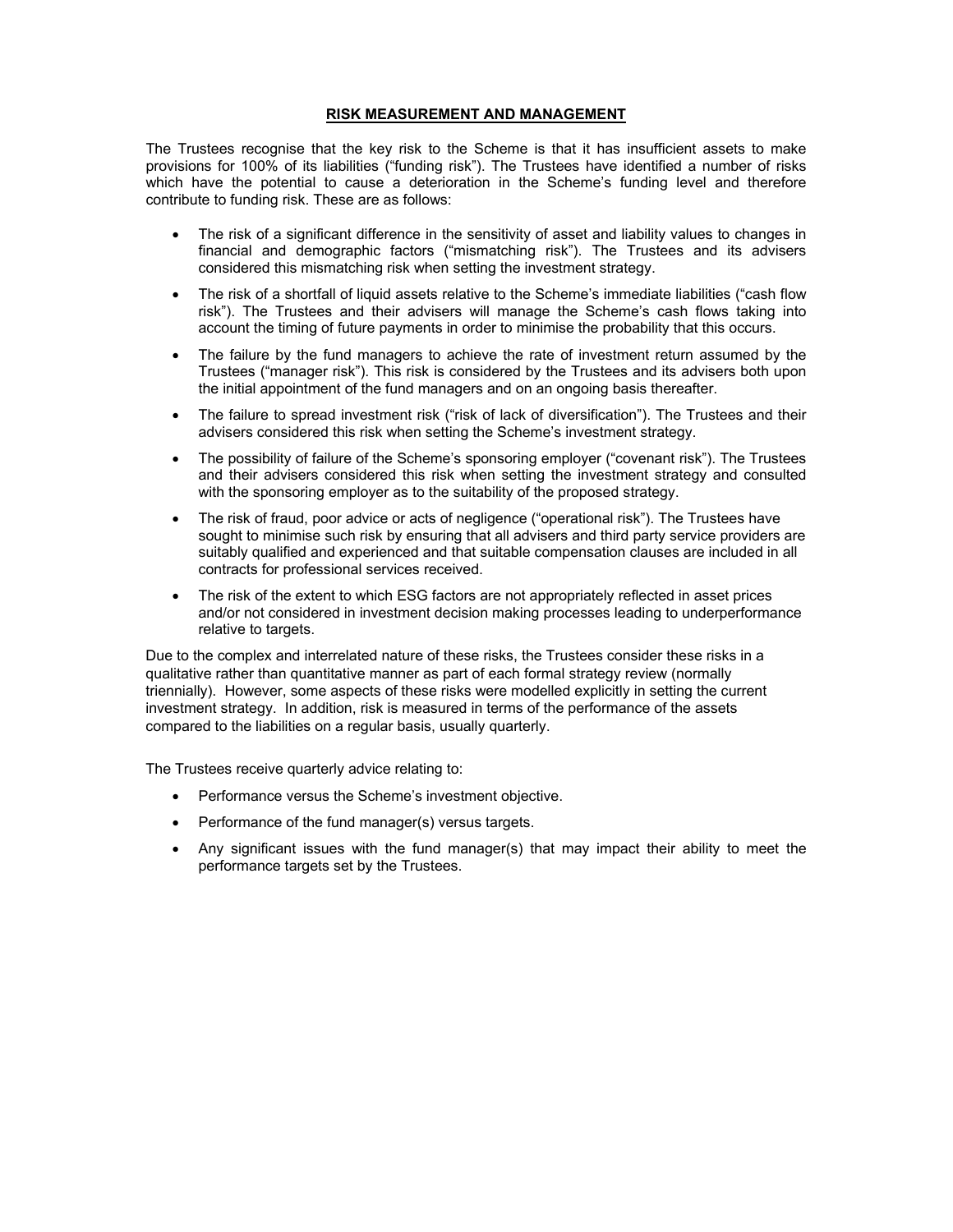# **RISK MEASUREMENT AND MANAGEMENT**

The Trustees recognise that the key risk to the Scheme is that it has insufficient assets to make provisions for 100% of its liabilities ("funding risk"). The Trustees have identified a number of risks which have the potential to cause a deterioration in the Scheme's funding level and therefore contribute to funding risk. These are as follows:

- The risk of a significant difference in the sensitivity of asset and liability values to changes in financial and demographic factors ("mismatching risk"). The Trustees and its advisers considered this mismatching risk when setting the investment strategy.
- The risk of a shortfall of liquid assets relative to the Scheme's immediate liabilities ("cash flow risk"). The Trustees and their advisers will manage the Scheme's cash flows taking into account the timing of future payments in order to minimise the probability that this occurs.
- The failure by the fund managers to achieve the rate of investment return assumed by the Trustees ("manager risk"). This risk is considered by the Trustees and its advisers both upon the initial appointment of the fund managers and on an ongoing basis thereafter.
- The failure to spread investment risk ("risk of lack of diversification"). The Trustees and their advisers considered this risk when setting the Scheme's investment strategy.
- The possibility of failure of the Scheme's sponsoring employer ("covenant risk"). The Trustees and their advisers considered this risk when setting the investment strategy and consulted with the sponsoring employer as to the suitability of the proposed strategy.
- The risk of fraud, poor advice or acts of negligence ("operational risk"). The Trustees have sought to minimise such risk by ensuring that all advisers and third party service providers are suitably qualified and experienced and that suitable compensation clauses are included in all contracts for professional services received.
- The risk of the extent to which ESG factors are not appropriately reflected in asset prices and/or not considered in investment decision making processes leading to underperformance relative to targets.

Due to the complex and interrelated nature of these risks, the Trustees consider these risks in a qualitative rather than quantitative manner as part of each formal strategy review (normally triennially). However, some aspects of these risks were modelled explicitly in setting the current investment strategy. In addition, risk is measured in terms of the performance of the assets compared to the liabilities on a regular basis, usually quarterly.

The Trustees receive quarterly advice relating to:

- Performance versus the Scheme's investment objective.
- Performance of the fund manager(s) versus targets.
- Any significant issues with the fund manager(s) that may impact their ability to meet the performance targets set by the Trustees.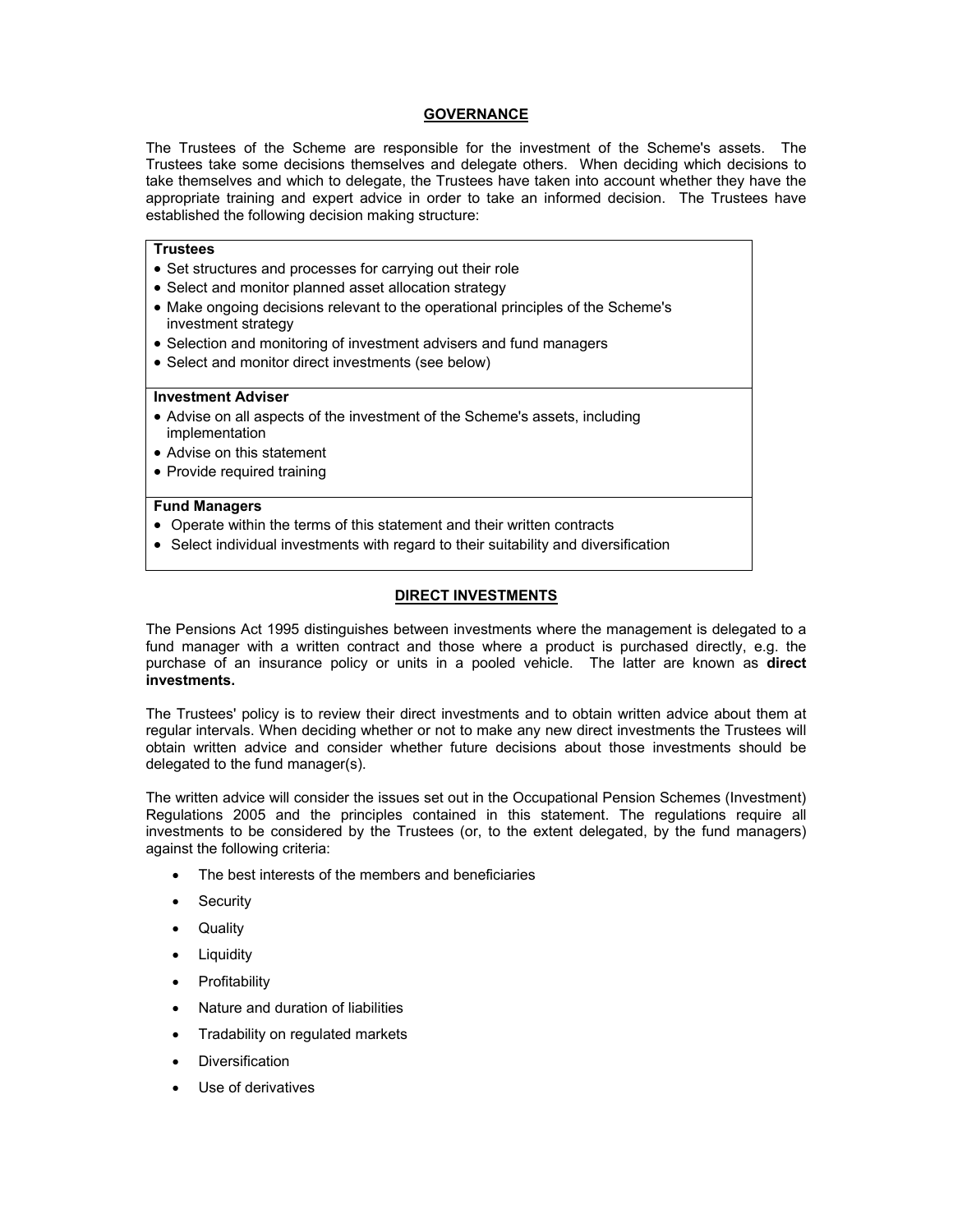### **GOVERNANCE**

The Trustees of the Scheme are responsible for the investment of the Scheme's assets. The Trustees take some decisions themselves and delegate others. When deciding which decisions to take themselves and which to delegate, the Trustees have taken into account whether they have the appropriate training and expert advice in order to take an informed decision. The Trustees have established the following decision making structure:

### **Trustees**

- Set structures and processes for carrying out their role
- Select and monitor planned asset allocation strategy
- Make ongoing decisions relevant to the operational principles of the Scheme's investment strategy
- Selection and monitoring of investment advisers and fund managers
- Select and monitor direct investments (see below)

#### **Investment Adviser**

- Advise on all aspects of the investment of the Scheme's assets, including implementation
- Advise on this statement
- Provide required training

### **Fund Managers**

- Operate within the terms of this statement and their written contracts
- Select individual investments with regard to their suitability and diversification

### **DIRECT INVESTMENTS**

The Pensions Act 1995 distinguishes between investments where the management is delegated to a fund manager with a written contract and those where a product is purchased directly, e.g. the purchase of an insurance policy or units in a pooled vehicle. The latter are known as **direct investments.**

The Trustees' policy is to review their direct investments and to obtain written advice about them at regular intervals. When deciding whether or not to make any new direct investments the Trustees will obtain written advice and consider whether future decisions about those investments should be delegated to the fund manager(s).

The written advice will consider the issues set out in the Occupational Pension Schemes (Investment) Regulations 2005 and the principles contained in this statement. The regulations require all investments to be considered by the Trustees (or, to the extent delegated, by the fund managers) against the following criteria:

- The best interests of the members and beneficiaries
- Security
- Quality
- Liquidity
- Profitability
- Nature and duration of liabilities
- Tradability on regulated markets
- Diversification
- Use of derivatives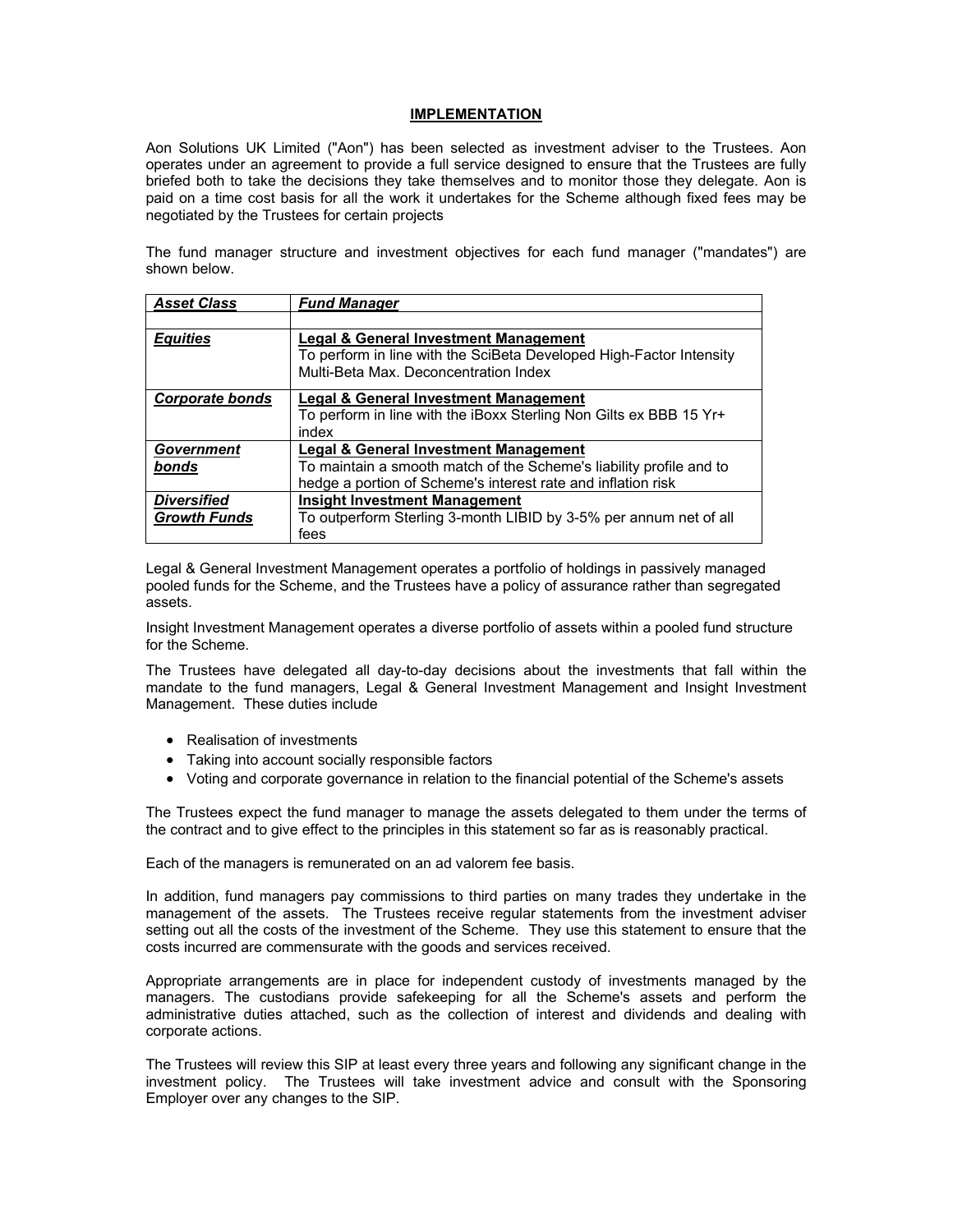#### **IMPLEMENTATION**

Aon Solutions UK Limited ("Aon") has been selected as investment adviser to the Trustees. Aon operates under an agreement to provide a full service designed to ensure that the Trustees are fully briefed both to take the decisions they take themselves and to monitor those they delegate. Aon is paid on a time cost basis for all the work it undertakes for the Scheme although fixed fees may be negotiated by the Trustees for certain projects

The fund manager structure and investment objectives for each fund manager ("mandates") are shown below.

| <b>Asset Class</b>     | <b>Fund Manager</b>                                                                                                                                   |
|------------------------|-------------------------------------------------------------------------------------------------------------------------------------------------------|
|                        |                                                                                                                                                       |
| <b>Equities</b>        | Legal & General Investment Management<br>To perform in line with the SciBeta Developed High-Factor Intensity<br>Multi-Beta Max. Deconcentration Index |
| <b>Corporate bonds</b> | <b>Legal &amp; General Investment Management</b>                                                                                                      |
|                        | To perform in line with the iBoxx Sterling Non Gilts ex BBB 15 Yr+                                                                                    |
|                        | index                                                                                                                                                 |
| Government             | Legal & General Investment Management                                                                                                                 |
| bonds                  | To maintain a smooth match of the Scheme's liability profile and to                                                                                   |
|                        | hedge a portion of Scheme's interest rate and inflation risk                                                                                          |
| <b>Diversified</b>     | <b>Insight Investment Management</b>                                                                                                                  |
| <b>Growth Funds</b>    | To outperform Sterling 3-month LIBID by 3-5% per annum net of all                                                                                     |
|                        | fees                                                                                                                                                  |

Legal & General Investment Management operates a portfolio of holdings in passively managed pooled funds for the Scheme, and the Trustees have a policy of assurance rather than segregated assets.

Insight Investment Management operates a diverse portfolio of assets within a pooled fund structure for the Scheme.

The Trustees have delegated all day-to-day decisions about the investments that fall within the mandate to the fund managers, Legal & General Investment Management and Insight Investment Management. These duties include

- Realisation of investments
- Taking into account socially responsible factors
- Voting and corporate governance in relation to the financial potential of the Scheme's assets

The Trustees expect the fund manager to manage the assets delegated to them under the terms of the contract and to give effect to the principles in this statement so far as is reasonably practical.

Each of the managers is remunerated on an ad valorem fee basis.

In addition, fund managers pay commissions to third parties on many trades they undertake in the management of the assets. The Trustees receive regular statements from the investment adviser setting out all the costs of the investment of the Scheme. They use this statement to ensure that the costs incurred are commensurate with the goods and services received.

Appropriate arrangements are in place for independent custody of investments managed by the managers. The custodians provide safekeeping for all the Scheme's assets and perform the administrative duties attached, such as the collection of interest and dividends and dealing with corporate actions.

The Trustees will review this SIP at least every three years and following any significant change in the investment policy. The Trustees will take investment advice and consult with the Sponsoring Employer over any changes to the SIP.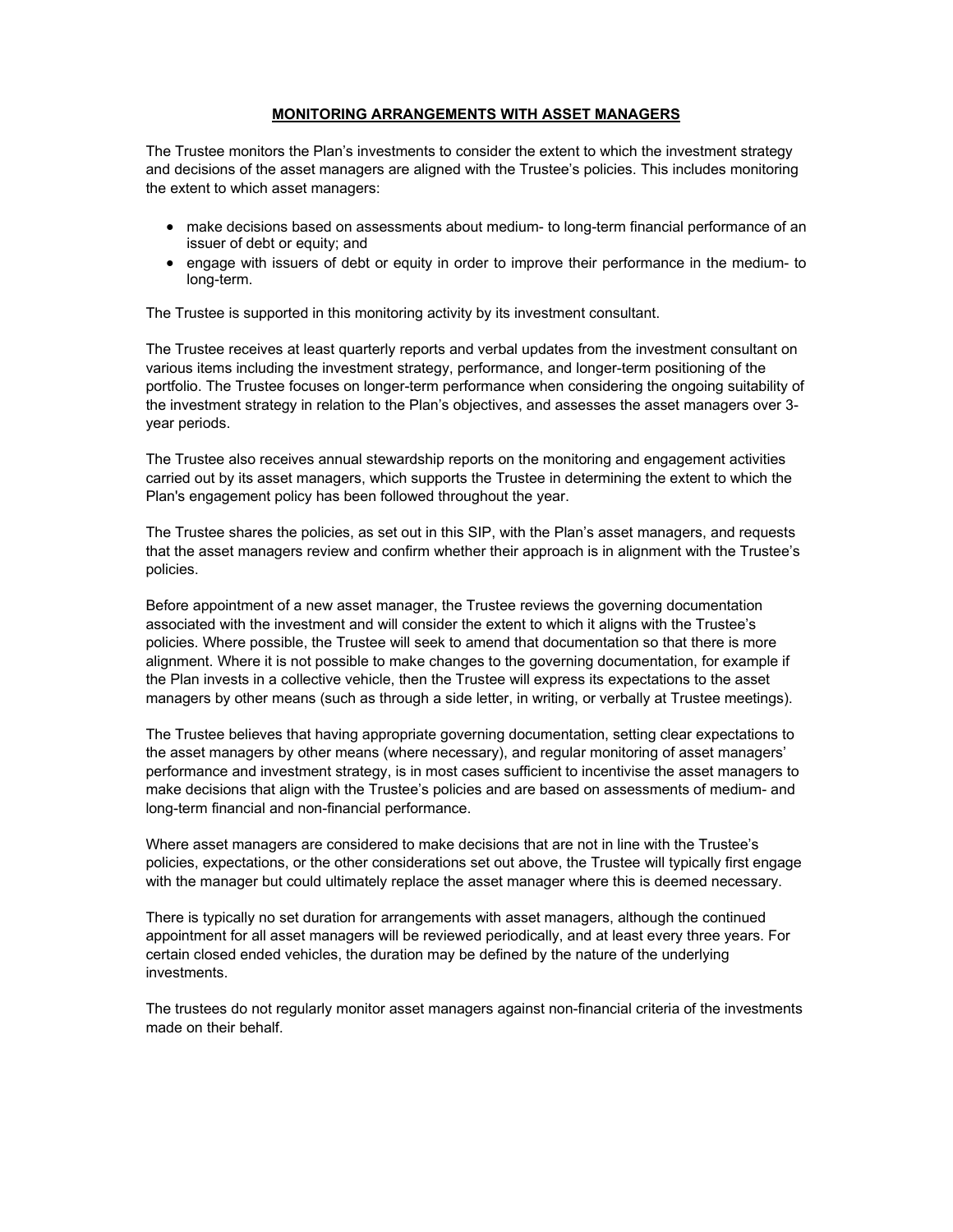### **MONITORING ARRANGEMENTS WITH ASSET MANAGERS**

The Trustee monitors the Plan's investments to consider the extent to which the investment strategy and decisions of the asset managers are aligned with the Trustee's policies. This includes monitoring the extent to which asset managers:

- make decisions based on assessments about medium- to long-term financial performance of an issuer of debt or equity; and
- engage with issuers of debt or equity in order to improve their performance in the medium- to long-term.

The Trustee is supported in this monitoring activity by its investment consultant.

The Trustee receives at least quarterly reports and verbal updates from the investment consultant on various items including the investment strategy, performance, and longer-term positioning of the portfolio. The Trustee focuses on longer-term performance when considering the ongoing suitability of the investment strategy in relation to the Plan's objectives, and assesses the asset managers over 3 year periods.

The Trustee also receives annual stewardship reports on the monitoring and engagement activities carried out by its asset managers, which supports the Trustee in determining the extent to which the Plan's engagement policy has been followed throughout the year.

The Trustee shares the policies, as set out in this SIP, with the Plan's asset managers, and requests that the asset managers review and confirm whether their approach is in alignment with the Trustee's policies.

Before appointment of a new asset manager, the Trustee reviews the governing documentation associated with the investment and will consider the extent to which it aligns with the Trustee's policies. Where possible, the Trustee will seek to amend that documentation so that there is more alignment. Where it is not possible to make changes to the governing documentation, for example if the Plan invests in a collective vehicle, then the Trustee will express its expectations to the asset managers by other means (such as through a side letter, in writing, or verbally at Trustee meetings).

The Trustee believes that having appropriate governing documentation, setting clear expectations to the asset managers by other means (where necessary), and regular monitoring of asset managers' performance and investment strategy, is in most cases sufficient to incentivise the asset managers to make decisions that align with the Trustee's policies and are based on assessments of medium- and long-term financial and non-financial performance.

Where asset managers are considered to make decisions that are not in line with the Trustee's policies, expectations, or the other considerations set out above, the Trustee will typically first engage with the manager but could ultimately replace the asset manager where this is deemed necessary.

There is typically no set duration for arrangements with asset managers, although the continued appointment for all asset managers will be reviewed periodically, and at least every three years. For certain closed ended vehicles, the duration may be defined by the nature of the underlying investments.

The trustees do not regularly monitor asset managers against non-financial criteria of the investments made on their behalf.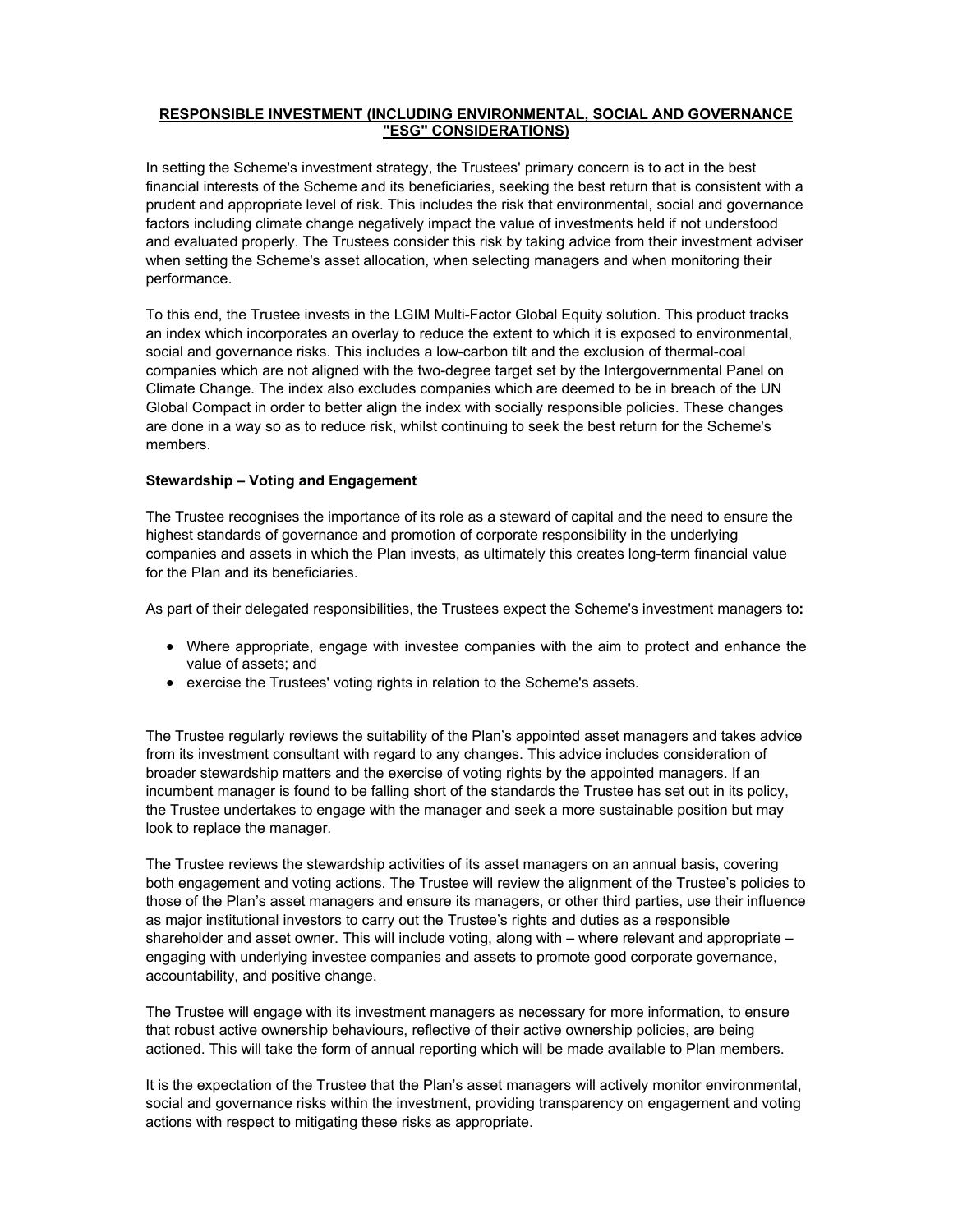### **RESPONSIBLE INVESTMENT (INCLUDING ENVIRONMENTAL, SOCIAL AND GOVERNANCE "ESG" CONSIDERATIONS)**

In setting the Scheme's investment strategy, the Trustees' primary concern is to act in the best financial interests of the Scheme and its beneficiaries, seeking the best return that is consistent with a prudent and appropriate level of risk. This includes the risk that environmental, social and governance factors including climate change negatively impact the value of investments held if not understood and evaluated properly. The Trustees consider this risk by taking advice from their investment adviser when setting the Scheme's asset allocation, when selecting managers and when monitoring their performance.

To this end, the Trustee invests in the LGIM Multi-Factor Global Equity solution. This product tracks an index which incorporates an overlay to reduce the extent to which it is exposed to environmental, social and governance risks. This includes a low-carbon tilt and the exclusion of thermal-coal companies which are not aligned with the two-degree target set by the Intergovernmental Panel on Climate Change. The index also excludes companies which are deemed to be in breach of the UN Global Compact in order to better align the index with socially responsible policies. These changes are done in a way so as to reduce risk, whilst continuing to seek the best return for the Scheme's members.

### **Stewardship – Voting and Engagement**

The Trustee recognises the importance of its role as a steward of capital and the need to ensure the highest standards of governance and promotion of corporate responsibility in the underlying companies and assets in which the Plan invests, as ultimately this creates long-term financial value for the Plan and its beneficiaries.

As part of their delegated responsibilities, the Trustees expect the Scheme's investment managers to**:** 

- Where appropriate, engage with investee companies with the aim to protect and enhance the value of assets; and
- exercise the Trustees' voting rights in relation to the Scheme's assets.

The Trustee regularly reviews the suitability of the Plan's appointed asset managers and takes advice from its investment consultant with regard to any changes. This advice includes consideration of broader stewardship matters and the exercise of voting rights by the appointed managers. If an incumbent manager is found to be falling short of the standards the Trustee has set out in its policy, the Trustee undertakes to engage with the manager and seek a more sustainable position but may look to replace the manager.

The Trustee reviews the stewardship activities of its asset managers on an annual basis, covering both engagement and voting actions. The Trustee will review the alignment of the Trustee's policies to those of the Plan's asset managers and ensure its managers, or other third parties, use their influence as major institutional investors to carry out the Trustee's rights and duties as a responsible shareholder and asset owner. This will include voting, along with – where relevant and appropriate – engaging with underlying investee companies and assets to promote good corporate governance, accountability, and positive change.

The Trustee will engage with its investment managers as necessary for more information, to ensure that robust active ownership behaviours, reflective of their active ownership policies, are being actioned. This will take the form of annual reporting which will be made available to Plan members.

It is the expectation of the Trustee that the Plan's asset managers will actively monitor environmental, social and governance risks within the investment, providing transparency on engagement and voting actions with respect to mitigating these risks as appropriate.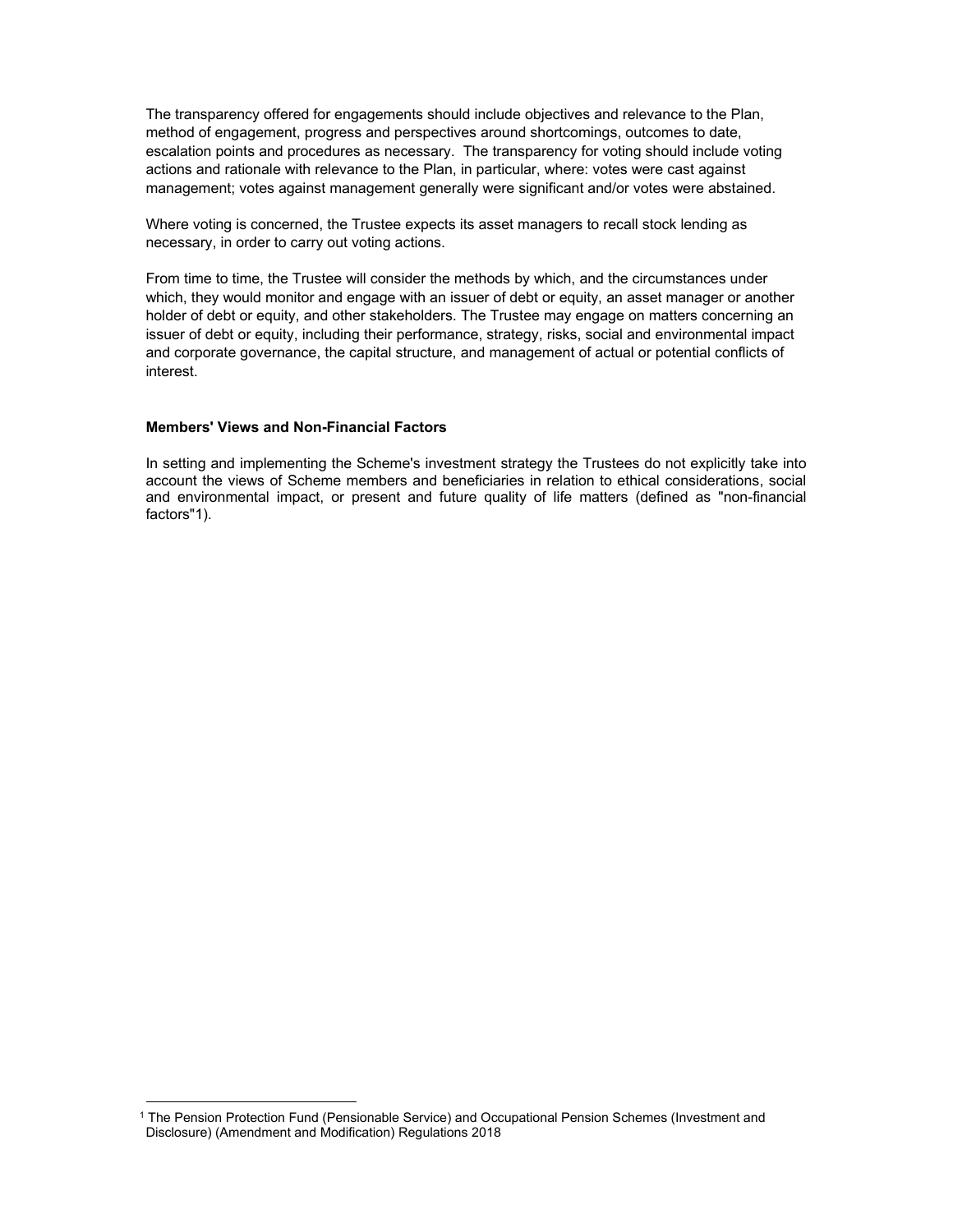The transparency offered for engagements should include objectives and relevance to the Plan, method of engagement, progress and perspectives around shortcomings, outcomes to date, escalation points and procedures as necessary. The transparency for voting should include voting actions and rationale with relevance to the Plan, in particular, where: votes were cast against management; votes against management generally were significant and/or votes were abstained.

Where voting is concerned, the Trustee expects its asset managers to recall stock lending as necessary, in order to carry out voting actions.

From time to time, the Trustee will consider the methods by which, and the circumstances under which, they would monitor and engage with an issuer of debt or equity, an asset manager or another holder of debt or equity, and other stakeholders. The Trustee may engage on matters concerning an issuer of debt or equity, including their performance, strategy, risks, social and environmental impact and corporate governance, the capital structure, and management of actual or potential conflicts of interest.

# **Members' Views and Non-Financial Factors**

-

In setting and implementing the Scheme's investment strategy the Trustees do not explicitly take into account the views of Scheme members and beneficiaries in relation to ethical considerations, social and environmental impact, or present and future quality of life matters (defined as "non-financial factors"1).

<sup>1</sup> The Pension Protection Fund (Pensionable Service) and Occupational Pension Schemes (Investment and Disclosure) (Amendment and Modification) Regulations 2018